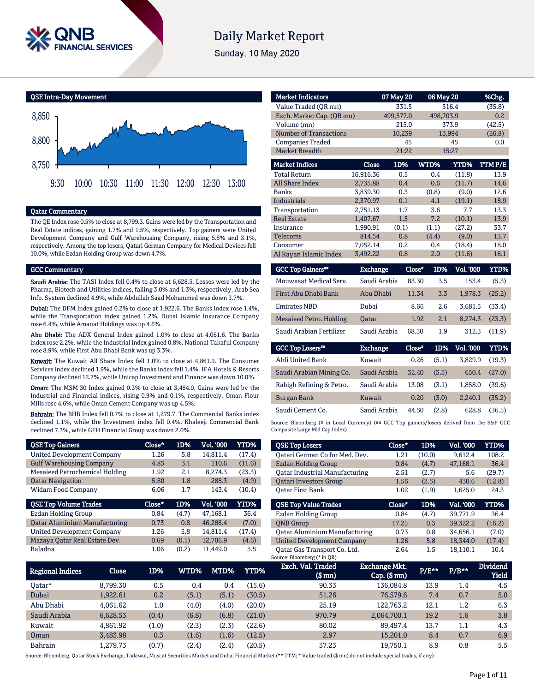

# **Daily Market Report**

Sunday, 10 May 2020



### Qatar Commentary

The QE Index rose 0.5% to close at 8,799.3. Gains were led by the Transportation and Real Estate indices, gaining 1.7% and 1.5%, respectively. Top gainers were United Development Company and Gulf Warehousing Company, rising 5.8% and 3.1%, respectively. Among the top losers, Qatari German Company for Medical Devices fell 10.0%, while Ezdan Holding Group was down 4.7%.

### GCC Commentary

Saudi Arabia: The TASI Index fell 0.4% to close at 6,628.5. Losses were led by the Pharma, Biotech and Utilities indices, falling 3.0% and 1.3%, respectively. Arab Sea Info. System declined 4.9%, while Abdullah Saad Mohammed was down 3.7%.

Dubai: The DFM Index gained 0.2% to close at 1,922.6. The Banks index rose 1.4%, while the Transportation index gained 1.2%. Dubai Islamic Insurance Company rose 6.4%, while Amanat Holdings was up 4.6%.

Abu Dhabi: The ADX General Index gained 1.0% to close at 4,061.6. The Banks index rose 2.2%, while the Industrial index gained 0.8%. National Takaful Company rose 8.9%, while First Abu Dhabi Bank was up 3.3%.

Kuwait: The Kuwait All Share Index fell 1.0% to close at 4,861.9. The Consumer Services index declined 1.9%, while the Banks index fell 1.4%. IFA Hotels & Resorts Company declined 12.7%, while Unicap Investment and Finance was down 10.0%.

Oman: The MSM 30 Index gained 0.3% to close at 3,484.0. Gains were led by the Industrial and Financial indices, rising 0.9% and 0.1%, respectively. Oman Flour Mills rose 4.6%, while Oman Cement Company was up 4.5%.

Bahrain: The BHB Index fell 0.7% to close at 1,279.7. The Commercial Banks index declined 1.1%, while the Investment index fell 0.4%. Khaleeji Commercial Bank declined 7.3%, while GFH Financial Group was down 2.0%.

| <b>QSE Top Gainers</b>               | Close* | 1D%   | Vol. 000  | YTD%        |
|--------------------------------------|--------|-------|-----------|-------------|
| <b>United Development Company</b>    | 1.26   | 5.8   | 14.811.4  | (17.4)      |
| <b>Gulf Warehousing Company</b>      | 4.85   | 3.1   | 110.6     | (11.6)      |
| Mesaieed Petrochemical Holding       | 1.92   | 2.1   | 8.274.3   | (23.3)      |
| <b>Qatar Navigation</b>              | 5.80   | 1.8   | 288.3     | (4.9)       |
| <b>Widam Food Company</b>            | 6.06   | 1.7   | 143.4     | (10.4)      |
|                                      |        |       |           |             |
| <b>QSE Top Volume Trades</b>         | Close* | 1D%   | Vol. '000 | <b>YTD%</b> |
| Ezdan Holding Group                  | 0.84   | (4.7) | 47.168.1  | 36.4        |
| <b>Qatar Aluminium Manufacturing</b> | 0.73   | 0.8   | 46.286.4  | (7.0)       |
| <b>United Development Company</b>    | 1.26   | 5.8   | 14.811.4  | (17.4)      |
| Mazaya Qatar Real Estate Dev.        | 0.69   | (0.1) | 12,706.9  | (4.6)       |

| <b>Market Indicators</b>             |                 | 07 May 20 | 06 May 20     |                  | %Chg.       |
|--------------------------------------|-----------------|-----------|---------------|------------------|-------------|
| Value Traded (OR mn)                 |                 | 331.5     |               | 516.4            | (35.8)      |
| Exch. Market Cap. (QR mn)            |                 | 499,577.0 | 498,703.9     |                  | 0.2         |
| Volume (mn)                          |                 | 215.0     |               | 373.9            | (42.5)      |
| <b>Number of Transactions</b>        |                 | 10,239    |               | 13,994           | (26.8)      |
| <b>Companies Traded</b>              |                 | 45        |               | 45               | 0.0         |
| <b>Market Breadth</b>                |                 | 21:22     |               | 15:27            |             |
| <b>Market Indices</b>                | Close           | 1D%       | WTD%          | YTD%             | TTMP/E      |
| <b>Total Return</b>                  | 16,916.36       | 0.5       | 0.4           | (11.8)           | 13.9        |
| <b>All Share Index</b>               | 2,735.88        | 0.4       | 0.6           | (11.7)           | 14.6        |
| <b>Banks</b>                         | 3.839.30        | 0.3       | (0.8)         | (9.0)            | 12.6        |
| <b>Industrials</b>                   | 2,370.97        | 0.1       | 4.1           | (19.1)           | 18.9        |
| Transportation                       | 2,751.13        | 1.7       | 3.6           | 7.7              | 13.3        |
| <b>Real Estate</b>                   | 1,407.67        | 1.5       | 7.2           | (10.1)           | 13.9        |
| Insurance                            | 1,990.91        | (0.1)     | (1.1)         | (27.2)           | 33.7        |
| <b>Telecoms</b>                      | 814.54          | 0.8       | (4.4)         | (9.0)            | 13.7        |
| Consumer                             | 7,052.14        | 0.2       | 0.4           | (18.4)           | 18.0        |
| Al Rayan Islamic Index               | 3,492.22        | 0.8       | 2.0           | (11.6)           | 16.1        |
| <b>GCC Top Gainers</b> <sup>##</sup> | <b>Exchange</b> |           | 1D%<br>Close" | <b>Vol. '000</b> | <b>YTD%</b> |

| <b>GUL TOD GAMELS</b>    | вхепацее     | <b>LIOSE</b> | LD'70 | vol. vou | <b>ILLUYO</b> |
|--------------------------|--------------|--------------|-------|----------|---------------|
| Mouwasat Medical Serv.   | Saudi Arabia | 83.30        | 3.5   | 153.4    | (5.3)         |
| First Abu Dhabi Bank     | Abu Dhabi    | 11.34        | 3.3   | 1.978.3  | (25.2)        |
| <b>Emirates NBD</b>      | Dubai        | 8.66         | 2.6   | 3.681.5  | (33.4)        |
| Mesaieed Petro. Holding  | <b>Oatar</b> | 1.92         | 2.1   | 8.274.3  | (23.3)        |
| Saudi Arabian Fertilizer | Saudi Arabia | 68.30        | 1.9   | 312.3    | (11.9)        |

| <b>GCC Top Losers</b> "  | <b>Exchange</b> | Close* | 1D%   | <b>Vol. '000</b> | YTD%   |
|--------------------------|-----------------|--------|-------|------------------|--------|
| Ahli United Bank         | Kuwait          | 0.26   | (5.1) | 3.829.9          | (19.3) |
| Saudi Arabian Mining Co. | Saudi Arabia    | 32.40  | (3.3) | 650.4            | (27.0) |
| Rabigh Refining & Petro. | Saudi Arabia    | 13.08  | (3.1) | 1.858.0          | (39.6) |
| <b>Burgan Bank</b>       | Kuwait          | 0.20   | (3.0) | 2.240.1          | (35.2) |
| Saudi Cement Co.         | Saudi Arabia    | 44.50  | (2.8) | 628.8            | (36.5) |

Source: Bloomberg (# in Local Currency) (## GCC Top gainers/losers derived from the S&P GCC Composite Large Mid Cap Index)

| <b>QSE Top Losers</b>                | Close* | 1D%    | <b>Vol. '000</b> | YTD%   |
|--------------------------------------|--------|--------|------------------|--------|
| Oatari German Co for Med. Dev.       | 1.21   | (10.0) | 9,612.4          | 108.2  |
| <b>Ezdan Holding Group</b>           | 0.84   | (4.7)  | 47.168.1         | 36.4   |
| Oatar Industrial Manufacturing       | 2.51   | (2.7)  | 5.6              | (29.7) |
| <b>Oatari Investors Group</b>        | 1.56   | (2.5)  | 430.6            | (12.8) |
| <b>Oatar First Bank</b>              | 1.02   | (1.9)  | 1.625.0          | 24.3   |
|                                      |        |        |                  |        |
|                                      |        |        |                  |        |
| <b>QSE Top Value Trades</b>          | Close* | 1D%    | Val. '000        | YTD%   |
| Ezdan Holding Group                  | 0.84   | (4.7)  | 39.771.9         | 36.4   |
| <b>ONB</b> Group                     | 17.25  | 0.3    | 39.322.2         | (16.2) |
| <b>Qatar Aluminium Manufacturing</b> | 0.73   | 0.8    | 34.656.1         | (7.0)  |
| <b>United Development Company</b>    | 1.26   | 5.8    | 18,344.0         | (17.4) |

| Regional Indices | Close    | 1D%     | WTD%  | MTD%  | YTD%   | Exch. Val. Traded<br>$$$ mn $)$ | <b>Exchange Mkt.</b><br>$Cap.$ (\$ mn) | $P/E***$ | $P/B***$ | <b>Dividend</b><br><b>Yield</b> |
|------------------|----------|---------|-------|-------|--------|---------------------------------|----------------------------------------|----------|----------|---------------------------------|
| 0atar*           | 8.799.30 | 0.5     | 0.4   | 0.4   | (15.6) | 90.33                           | 136,084.8                              | 13.9     | 1.4      | 4.5                             |
| Dubai            | 1.922.61 | 0.2     | (5.1) | (5.1) | (30.5) | 51.26                           | 76,579.6                               | 7.4      | 0.7      | 5.0                             |
| Abu Dhabi        | 4.061.62 | $1.0\,$ | (4.0) | (4.0) | (20.0) | 25.19                           | 122.763.2                              | 12.1     | 1.2      | 6.3                             |
| Saudi Arabia     | 6,628.53 | (0.4)   | (6.8) | (6.8) | (21.0) | 970.79                          | 2,064,700.1                            | 19.2     | 1.6      | 3.8                             |
| Kuwait           | 4.861.92 | (1.0)   | (2.3) | (2.3) | (22.6) | 80.02                           | 89.497.4                               | 13.7     | 1.1      | 4.3                             |
| Oman             | 3,483.98 | 0.3     | (1.6) | (1.6) | (12.5) | 2.97                            | 15,201.0                               | 8.4      | 0.7      | 6.9                             |
| <b>Bahrain</b>   | 1.279.73 | (0.7)   | (2.4) | (2.4) | (20.5) | 37.23                           | 19.750.1                               | 8.9      | 0.8      | 5.5                             |

Source: Bloomberg, Qatar Stock Exchange, Tadawul, Muscat Securities Market and Dubai Financial Market (\*\* TTM; \* Value traded (\$ mn) do not include special trades, if any)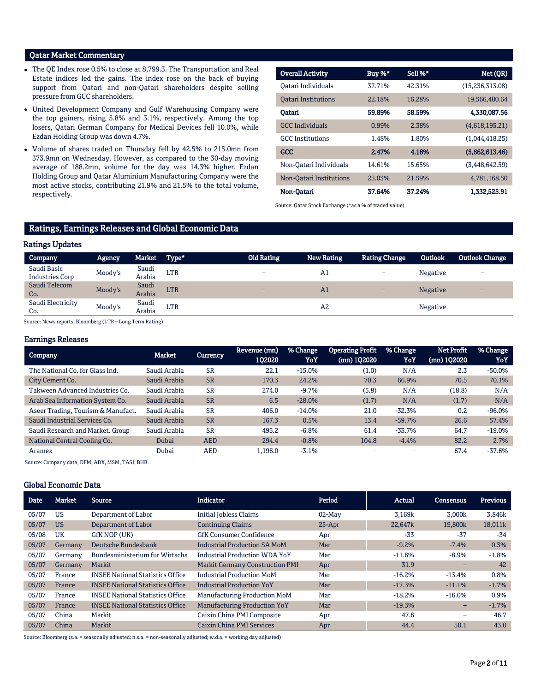### Qatar Market Commentary

- The QE Index rose 0.5% to close at 8,799.3. The Transportation and Real Estate indices led the gains. The index rose on the back of buying support from Qatari and non-Qatari shareholders despite selling pressure from GCC shareholders.
- United Development Company and Gulf Warehousing Company were the top gainers, rising 5.8% and 3.1%, respectively. Among the top losers, Qatari German Company for Medical Devices fell 10.0%, while Ezdan Holding Group was down 4.7%.
- Volume of shares traded on Thursday fell by 42.5% to 215.0mn from 373.9mn on Wednesday. However, as compared to the 30-day moving average of 188.2mn, volume for the day was 14.3% higher. Ezdan Holding Group and Qatar Aluminium Manufacturing Company were the most active stocks, contributing 21.9% and 21.5% to the total volume, respectively.

| <b>Overall Activity</b>    | Buy %* | Sell %* | Net (QR)          |
|----------------------------|--------|---------|-------------------|
| Oatari Individuals         | 37.71% | 42.31%  | (15, 236, 313.08) |
| <b>Oatari Institutions</b> | 22.18% | 16.28%  | 19,566,400.64     |
| Oatari                     | 59.89% | 58.59%  | 4.330.087.56      |
| <b>GCC</b> Individuals     | 0.99%  | 2.38%   | (4,618,195.21)    |
| <b>GCC</b> Institutions    | 1.48%  | 1.80%   | (1,044,418.25)    |
| <b>GCC</b>                 | 2.47%  | 4.18%   | (5,662,613.46)    |
| Non-Oatari Individuals     | 14.61% | 15.65%  | (3,448,642.59)    |
| Non-Oatari Institutions    | 23.03% | 21.59%  | 4,781,168.50      |
| Non-Oatari                 | 37.64% | 37.24%  | 1,332,525.91      |

Source: Qatar Stock Exchange (\*as a % of traded value)

# Ratings, Earnings Releases and Global Economic Data

### Ratings Updates

| Company                               | Agency  | Market          | $T$ Type <sup>*</sup> | <b>Old Rating</b>        | <b>New Rating</b> | <b>Rating Change</b> | <b>Outlook</b>  | <b>Outlook Change</b>    |
|---------------------------------------|---------|-----------------|-----------------------|--------------------------|-------------------|----------------------|-----------------|--------------------------|
| Saudi Basic<br><b>Industries Corp</b> | Moody's | Saudi<br>Arabia | LTR                   | -                        | A1                | -                    | Negative        |                          |
| Saudi Telecom<br>Co.                  | Moody's | Saudi<br>Arabia | <b>LTR</b>            | $\overline{\phantom{0}}$ | A <sub>1</sub>    | -                    | <b>Negative</b> | $\overline{\phantom{0}}$ |
| Saudi Electricity<br>Co.              | Moody's | Saudi<br>Arabia | <b>LTR</b>            | -                        | A2                | -                    | Negative        | -                        |

Source: News reports, Bloomberg (LTR – Long Term Rating)

### Earnings Releases

| <b>Company</b>                     | Market       | Currency   | Revenue (mn)<br>102020 | % Change<br>YoY | <b>Operating Profit</b><br>(mn) 102020 | % Change<br>YoY | <b>Net Profit</b><br>(mn) 1Q2020 | % Change<br>YoY |
|------------------------------------|--------------|------------|------------------------|-----------------|----------------------------------------|-----------------|----------------------------------|-----------------|
| The National Co. for Glass Ind.    | Saudi Arabia | <b>SR</b>  | 22.1                   | $-15.0%$        | (1.0)                                  | N/A             | 2.3                              | $-50.0%$        |
| City Cement Co.                    | Saudi Arabia | <b>SR</b>  | 170.3                  | 24.2%           | 70.3                                   | 66.9%           | 70.5                             | 70.1%           |
| Takween Advanced Industries Co.    | Saudi Arabia | <b>SR</b>  | 274.0                  | $-9.7%$         | (5.8)                                  | N/A             | (18.8)                           | N/A             |
| Arab Sea Information System Co.    | Saudi Arabia | <b>SR</b>  | 6.5                    | $-28.0%$        | (1.7)                                  | N/A             | (1.7)                            | N/A             |
| Aseer Trading, Tourism & Manufact. | Saudi Arabia | <b>SR</b>  | 406.0                  | $-14.0%$        | 21.0                                   | $-32.3%$        | 0.2                              | $-96.0%$        |
| Saudi Industrial Services Co.      | Saudi Arabia | <b>SR</b>  | 167.3                  | 0.5%            | 13.4                                   | $-59.7%$        | 26.6                             | 57.4%           |
| Saudi Research and Market. Group   | Saudi Arabia | <b>SR</b>  | 495.2                  | $-6.8%$         | 61.4                                   | $-33.7%$        | 64.7                             | $-19.0%$        |
| National Central Cooling Co.       | Dubai        | <b>AED</b> | 294.4                  | $-0.8%$         | 104.8                                  | $-4.4%$         | 82.2                             | 2.7%            |
| Aramex                             | Dubai        | AED        | 1,196.0                | $-3.1%$         |                                        |                 | 67.4                             | $-37.6%$        |

Source: Company data, DFM, ADX, MSM, TASI, BHB.

### Global Economic Data

| <b>Date</b> | Market    | Source                                  | Indicator                              | Period    | Actual   | Consensus | <b>Previous</b> |
|-------------|-----------|-----------------------------------------|----------------------------------------|-----------|----------|-----------|-----------------|
| 05/07       | US        | Department of Labor                     | Initial Jobless Claims                 | $02$ -May | 3.169k   | 3.000k    | 3,846k          |
| 05/07       | <b>US</b> | Department of Labor                     | <b>Continuing Claims</b>               | $25-Apr$  | 22,647k  | 19,800k   | 18,011k         |
| 05/08       | UK        | GfK NOP (UK)                            | <b>GfK Consumer Confidence</b>         | Apr       | $-33$    | $-37$     | $-34$           |
| 05/07       | Germany   | Deutsche Bundesbank                     | <b>Industrial Production SA MoM</b>    | Mar       | $-9.2%$  | $-7.4%$   | 0.3%            |
| 05/07       | Germany   | Bundesministerium fur Wirtscha          | <b>Industrial Production WDA YoY</b>   | Mar       | $-11.6%$ | $-8.9%$   | $-1.8%$         |
| 05/07       | Germany   | Markit                                  | <b>Markit Germany Construction PMI</b> | Apr       | 31.9     | -         | 42              |
| 05/07       | France    | <b>INSEE National Statistics Office</b> | <b>Industrial Production MoM</b>       | Mar       | $-16.2%$ | $-13.4%$  | 0.8%            |
| 05/07       | France    | <b>INSEE National Statistics Office</b> | <b>Industrial Production YoY</b>       | Mar       | $-17.3%$ | $-11.1%$  | $-1.7%$         |
| 05/07       | France    | <b>INSEE National Statistics Office</b> | Manufacturing Production MoM           | Mar       | $-18.2%$ | $-16.0%$  | 0.9%            |
| 05/07       | France    | <b>INSEE National Statistics Office</b> | <b>Manufacturing Production YoY</b>    | Mar       | $-19.3%$ | -         | $-1.7%$         |
| 05/07       | China     | Markit                                  | Caixin China PMI Composite             | Apr       | 47.6     |           | 46.7            |
| 05/07       | China     | Markit                                  | Caixin China PMI Services              | Apr       | 44.4     | 50.1      | 43.0            |

Source: Bloomberg (s.a. = seasonally adjusted; n.s.a. = non-seasonally adjusted; w.d.a. = working day adjusted)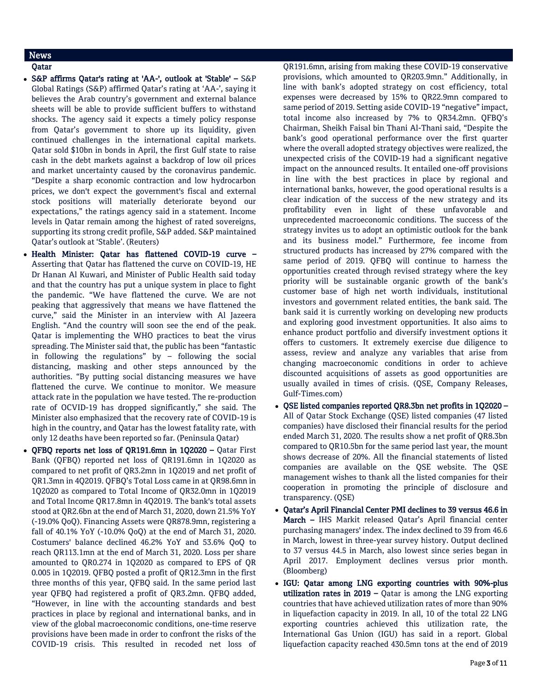# News

### Qatar

- S&P affirms Qatar's rating at 'AA-', outlook at 'Stable' S&P Global Ratings (S&P) affirmed Qatar's rating at 'AA-', saying it believes the Arab country's government and external balance sheets will be able to provide sufficient buffers to withstand shocks. The agency said it expects a timely policy response from Qatar's government to shore up its liquidity, given continued challenges in the international capital markets. Qatar sold \$10bn in bonds in April, the first Gulf state to raise cash in the debt markets against a backdrop of low oil prices and market uncertainty caused by the coronavirus pandemic. "Despite a sharp economic contraction and low hydrocarbon prices, we don't expect the government's fiscal and external stock positions will materially deteriorate beyond our expectations," the ratings agency said in a statement. Income levels in Qatar remain among the highest of rated sovereigns, supporting its strong credit profile, S&P added. S&P maintained Qatar's outlook at 'Stable'. (Reuters)
- Health Minister: Qatar has flattened COVID-19 curve Asserting that Qatar has flattened the curve on COVID-19, HE Dr Hanan Al Kuwari, and Minister of Public Health said today and that the country has put a unique system in place to fight the pandemic. "We have flattened the curve. We are not peaking that aggressively that means we have flattened the curve," said the Minister in an interview with Al Jazeera English. "And the country will soon see the end of the peak. Qatar is implementing the WHO practices to beat the virus spreading. The Minister said that, the public has been "fantastic in following the regulations" by – following the social distancing, masking and other steps announced by the authorities. "By putting social distancing measures we have flattened the curve. We continue to monitor. We measure attack rate in the population we have tested. The re-production rate of OCVID-19 has dropped significantly," she said. The Minister also emphasized that the recovery rate of COVID-19 is high in the country, and Qatar has the lowest fatality rate, with only 12 deaths have been reported so far. (Peninsula Qatar)
- QFBQ reports net loss of QR191.6mn in 1Q2020 Qatar First Bank (QFBQ) reported net loss of QR191.6mn in 1Q2020 as compared to net profit of QR3.2mn in 1Q2019 and net profit of QR1.3mn in 4Q2019. QFBQ's Total Loss came in at QR98.6mn in 1Q2020 as compared to Total Income of QR32.0mn in 1Q2019 and Total Income QR17.8mn in 4Q2019. The bank's total assets stood at QR2.6bn at the end of March 31, 2020, down 21.5% YoY (-19.0% QoQ). Financing Assets were QR878.9mn, registering a fall of 40.1% YoY (-10.0% QoQ) at the end of March 31, 2020. Costumers' balance declined 46.2% YoY and 53.6% QoQ to reach QR113.1mn at the end of March 31, 2020. Loss per share amounted to QR0.274 in 1Q2020 as compared to EPS of QR 0.005 in 1Q2019. QFBQ posted a profit of QR12.3mn in the first three months of this year, QFBQ said. In the same period last year QFBQ had registered a profit of QR3.2mn. QFBQ added, "However, in line with the accounting standards and best practices in place by regional and international banks, and in view of the global macroeconomic conditions, one-time reserve provisions have been made in order to confront the risks of the COVID-19 crisis. This resulted in recoded net loss of

QR191.6mn, arising from making these COVID-19 conservative provisions, which amounted to QR203.9mn." Additionally, in line with bank's adopted strategy on cost efficiency, total expenses were decreased by 15% to QR22.9mn compared to same period of 2019. Setting aside COVID-19 "negative" impact, total income also increased by 7% to QR34.2mn. QFBQ's Chairman, Sheikh Faisal bin Thani Al-Thani said, "Despite the bank's good operational performance over the first quarter where the overall adopted strategy objectives were realized, the unexpected crisis of the COVID-19 had a significant negative impact on the announced results. It entailed one-off provisions in line with the best practices in place by regional and international banks, however, the good operational results is a clear indication of the success of the new strategy and its profitability even in light of these unfavorable and unprecedented macroeconomic conditions. The success of the strategy invites us to adopt an optimistic outlook for the bank and its business model." Furthermore, fee income from structured products has increased by 27% compared with the same period of 2019. QFBQ will continue to harness the opportunities created through revised strategy where the key priority will be sustainable organic growth of the bank's customer base of high net worth individuals, institutional investors and government related entities, the bank said. The bank said it is currently working on developing new products and exploring good investment opportunities. It also aims to enhance product portfolio and diversify investment options it offers to customers. It extremely exercise due diligence to assess, review and analyze any variables that arise from changing macroeconomic conditions in order to achieve discounted acquisitions of assets as good opportunities are usually availed in times of crisis. (QSE, Company Releases, Gulf-Times.com)

- QSE listed companies reported QR8.3bn net profits in 1Q2020 All of Qatar Stock Exchange (QSE) listed companies (47 listed companies) have disclosed their financial results for the period ended March 31, 2020. The results show a net profit of QR8.3bn compared to QR10.5bn for the same period last year, the mount shows decrease of 20%. All the financial statements of listed companies are available on the QSE website. The QSE management wishes to thank all the listed companies for their cooperation in promoting the principle of disclosure and transparency. (QSE)
- Qatar's April Financial Center PMI declines to 39 versus 46.6 in March – IHS Markit released Qatar's April financial center purchasing managers' index. The index declined to 39 from 46.6 in March, lowest in three-year survey history. Output declined to 37 versus 44.5 in March, also lowest since series began in April 2017. Employment declines versus prior month. (Bloomberg)
- IGU: Qatar among LNG exporting countries with 90%-plus utilization rates in  $2019 -$  Qatar is among the LNG exporting countries that have achieved utilization rates of more than 90% in liquefaction capacity in 2019. In all, 10 of the total 22 LNG exporting countries achieved this utilization rate, the International Gas Union (IGU) has said in a report. Global liquefaction capacity reached 430.5mn tons at the end of 2019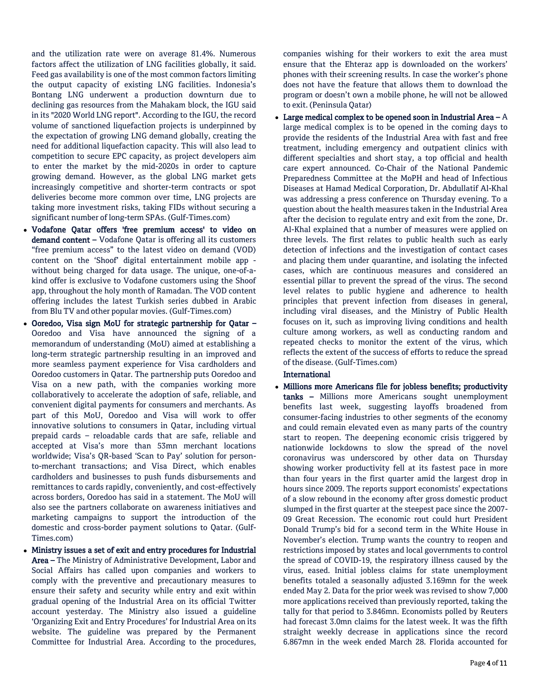and the utilization rate were on average 81.4%. Numerous factors affect the utilization of LNG facilities globally, it said. Feed gas availability is one of the most common factors limiting the output capacity of existing LNG facilities. Indonesia's Bontang LNG underwent a production downturn due to declining gas resources from the Mahakam block, the IGU said in its "2020 World LNG report". According to the IGU, the record volume of sanctioned liquefaction projects is underpinned by the expectation of growing LNG demand globally, creating the need for additional liquefaction capacity. This will also lead to competition to secure EPC capacity, as project developers aim to enter the market by the mid-2020s in order to capture growing demand. However, as the global LNG market gets increasingly competitive and shorter-term contracts or spot deliveries become more common over time, LNG projects are taking more investment risks, taking FIDs without securing a significant number of long-term SPAs. (Gulf-Times.com)

- Vodafone Qatar offers 'free premium access' to video on demand content – Vodafone Qatar is offering all its customers "free premium access" to the latest video on demand (VOD) content on the 'Shoof' digital entertainment mobile app without being charged for data usage. The unique, one-of-akind offer is exclusive to Vodafone customers using the Shoof app, throughout the holy month of Ramadan. The VOD content offering includes the latest Turkish series dubbed in Arabic from Blu TV and other popular movies. (Gulf-Times.com)
- Ooredoo, Visa sign MoU for strategic partnership for Qatar Ooredoo and Visa have announced the signing of a memorandum of understanding (MoU) aimed at establishing a long-term strategic partnership resulting in an improved and more seamless payment experience for Visa cardholders and Ooredoo customers in Qatar. The partnership puts Ooredoo and Visa on a new path, with the companies working more collaboratively to accelerate the adoption of safe, reliable, and convenient digital payments for consumers and merchants. As part of this MoU, Ooredoo and Visa will work to offer innovative solutions to consumers in Qatar, including virtual prepaid cards – reloadable cards that are safe, reliable and accepted at Visa's more than 53mn merchant locations worldwide; Visa's QR-based 'Scan to Pay' solution for personto-merchant transactions; and Visa Direct, which enables cardholders and businesses to push funds disbursements and remittances to cards rapidly, conveniently, and cost-effectively across borders, Ooredoo has said in a statement. The MoU will also see the partners collaborate on awareness initiatives and marketing campaigns to support the introduction of the domestic and cross-border payment solutions to Qatar. (Gulf-Times.com)
- Ministry issues a set of exit and entry procedures for Industrial Area – The Ministry of Administrative Development, Labor and Social Affairs has called upon companies and workers to comply with the preventive and precautionary measures to ensure their safety and security while entry and exit within gradual opening of the Industrial Area on its official Twitter account yesterday. The Ministry also issued a guideline 'Organizing Exit and Entry Procedures' for Industrial Area on its website. The guideline was prepared by the Permanent Committee for Industrial Area. According to the procedures,

companies wishing for their workers to exit the area must ensure that the Ehteraz app is downloaded on the workers' phones with their screening results. In case the worker's phone does not have the feature that allows them to download the program or doesn't own a mobile phone, he will not be allowed to exit. (Peninsula Qatar)

- Large medical complex to be opened soon in Industrial Area  $-A$ large medical complex is to be opened in the coming days to provide the residents of the Industrial Area with fast and free treatment, including emergency and outpatient clinics with different specialties and short stay, a top official and health care expert announced. Co-Chair of the National Pandemic Preparedness Committee at the MoPH and head of Infectious Diseases at Hamad Medical Corporation, Dr. Abdullatif Al-Khal was addressing a press conference on Thursday evening. To a question about the health measures taken in the Industrial Area after the decision to regulate entry and exit from the zone, Dr. Al-Khal explained that a number of measures were applied on three levels. The first relates to public health such as early detection of infections and the investigation of contact cases and placing them under quarantine, and isolating the infected cases, which are continuous measures and considered an essential pillar to prevent the spread of the virus. The second level relates to public hygiene and adherence to health principles that prevent infection from diseases in general, including viral diseases, and the Ministry of Public Health focuses on it, such as improving living conditions and health culture among workers, as well as conducting random and repeated checks to monitor the extent of the virus, which reflects the extent of the success of efforts to reduce the spread of the disease. (Gulf-Times.com)

# International

 Millions more Americans file for jobless benefits; productivity tanks - Millions more Americans sought unemployment benefits last week, suggesting layoffs broadened from consumer-facing industries to other segments of the economy and could remain elevated even as many parts of the country start to reopen. The deepening economic crisis triggered by nationwide lockdowns to slow the spread of the novel coronavirus was underscored by other data on Thursday showing worker productivity fell at its fastest pace in more than four years in the first quarter amid the largest drop in hours since 2009. The reports support economists' expectations of a slow rebound in the economy after gross domestic product slumped in the first quarter at the steepest pace since the 2007- 09 Great Recession. The economic rout could hurt President Donald Trump's bid for a second term in the White House in November's election. Trump wants the country to reopen and restrictions imposed by states and local governments to control the spread of COVID-19, the respiratory illness caused by the virus, eased. Initial jobless claims for state unemployment benefits totaled a seasonally adjusted 3.169mn for the week ended May 2. Data for the prior week was revised to show 7,000 more applications received than previously reported, taking the tally for that period to 3.846mn. Economists polled by Reuters had forecast 3.0mn claims for the latest week. It was the fifth straight weekly decrease in applications since the record 6.867mn in the week ended March 28. Florida accounted for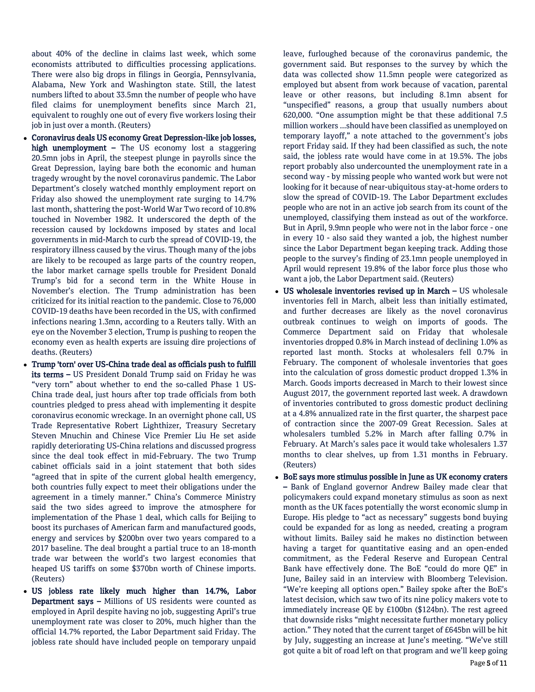about 40% of the decline in claims last week, which some economists attributed to difficulties processing applications. There were also big drops in filings in Georgia, Pennsylvania, Alabama, New York and Washington state. Still, the latest numbers lifted to about 33.5mn the number of people who have filed claims for unemployment benefits since March 21, equivalent to roughly one out of every five workers losing their job in just over a month. (Reuters)

- Coronavirus deals US economy Great Depression-like job losses, high unemployment  $-$  The US economy lost a staggering 20.5mn jobs in April, the steepest plunge in payrolls since the Great Depression, laying bare both the economic and human tragedy wrought by the novel coronavirus pandemic. The Labor Department's closely watched monthly employment report on Friday also showed the unemployment rate surging to 14.7% last month, shattering the post-World War Two record of 10.8% touched in November 1982. It underscored the depth of the recession caused by lockdowns imposed by states and local governments in mid-March to curb the spread of COVID-19, the respiratory illness caused by the virus. Though many of the jobs are likely to be recouped as large parts of the country reopen, the labor market carnage spells trouble for President Donald Trump's bid for a second term in the White House in November's election. The Trump administration has been criticized for its initial reaction to the pandemic. Close to 76,000 COVID-19 deaths have been recorded in the US, with confirmed infections nearing 1.3mn, according to a Reuters tally. With an eye on the November 3 election, Trump is pushing to reopen the economy even as health experts are issuing dire projections of deaths. (Reuters)
- Trump 'torn' over US-China trade deal as officials push to fulfill its terms – US President Donald Trump said on Friday he was "very torn" about whether to end the so-called Phase 1 US-China trade deal, just hours after top trade officials from both countries pledged to press ahead with implementing it despite coronavirus economic wreckage. In an overnight phone call, US Trade Representative Robert Lighthizer, Treasury Secretary Steven Mnuchin and Chinese Vice Premier Liu He set aside rapidly deteriorating US-China relations and discussed progress since the deal took effect in mid-February. The two Trump cabinet officials said in a joint statement that both sides "agreed that in spite of the current global health emergency, both countries fully expect to meet their obligations under the agreement in a timely manner." China's Commerce Ministry said the two sides agreed to improve the atmosphere for implementation of the Phase 1 deal, which calls for Beijing to boost its purchases of American farm and manufactured goods, energy and services by \$200bn over two years compared to a 2017 baseline. The deal brought a partial truce to an 18-month trade war between the world's two largest economies that heaped US tariffs on some \$370bn worth of Chinese imports. (Reuters)
- US jobless rate likely much higher than 14.7%, Labor Department says – Millions of US residents were counted as employed in April despite having no job, suggesting April's true unemployment rate was closer to 20%, much higher than the official 14.7% reported, the Labor Department said Friday. The jobless rate should have included people on temporary unpaid

leave, furloughed because of the coronavirus pandemic, the government said. But responses to the survey by which the data was collected show 11.5mn people were categorized as employed but absent from work because of vacation, parental leave or other reasons, but including 8.1mn absent for "unspecified" reasons, a group that usually numbers about 620,000. "One assumption might be that these additional 7.5 million workers ...should have been classified as unemployed on temporary layoff," a note attached to the government's jobs report Friday said. If they had been classified as such, the note said, the jobless rate would have come in at 19.5%. The jobs report probably also undercounted the unemployment rate in a second way - by missing people who wanted work but were not looking for it because of near-ubiquitous stay-at-home orders to slow the spread of COVID-19. The Labor Department excludes people who are not in an active job search from its count of the unemployed, classifying them instead as out of the workforce. But in April, 9.9mn people who were not in the labor force - one in every 10 - also said they wanted a job, the highest number since the Labor Department began keeping track. Adding those people to the survey's finding of 23.1mn people unemployed in April would represent 19.8% of the labor force plus those who want a job, the Labor Department said. (Reuters)

- US wholesale inventories revised up in March US wholesale inventories fell in March, albeit less than initially estimated, and further decreases are likely as the novel coronavirus outbreak continues to weigh on imports of goods. The Commerce Department said on Friday that wholesale inventories dropped 0.8% in March instead of declining 1.0% as reported last month. Stocks at wholesalers fell 0.7% in February. The component of wholesale inventories that goes into the calculation of gross domestic product dropped 1.3% in March. Goods imports decreased in March to their lowest since August 2017, the government reported last week. A drawdown of inventories contributed to gross domestic product declining at a 4.8% annualized rate in the first quarter, the sharpest pace of contraction since the 2007-09 Great Recession. Sales at wholesalers tumbled 5.2% in March after falling 0.7% in February. At March's sales pace it would take wholesalers 1.37 months to clear shelves, up from 1.31 months in February. (Reuters)
- BoE says more stimulus possible in June as UK economy craters – Bank of England governor Andrew Bailey made clear that policymakers could expand monetary stimulus as soon as next month as the UK faces potentially the worst economic slump in Europe. His pledge to "act as necessary" suggests bond buying could be expanded for as long as needed, creating a program without limits. Bailey said he makes no distinction between having a target for quantitative easing and an open-ended commitment, as the Federal Reserve and European Central Bank have effectively done. The BoE "could do more QE" in June, Bailey said in an interview with Bloomberg Television. "We're keeping all options open." Bailey spoke after the BoE's latest decision, which saw two of its nine policy makers vote to immediately increase QE by £100bn (\$124bn). The rest agreed that downside risks "might necessitate further monetary policy action." They noted that the current target of £645bn will be hit by July, suggesting an increase at June's meeting. "We've still got quite a bit of road left on that program and we'll keep going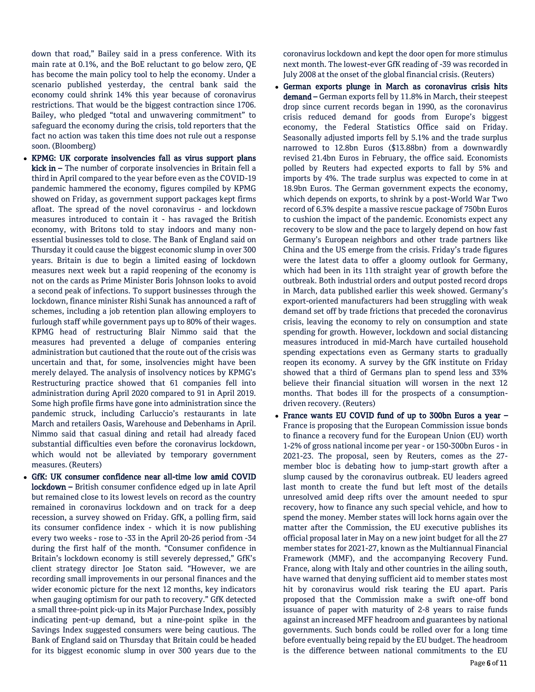down that road," Bailey said in a press conference. With its main rate at 0.1%, and the BoE reluctant to go below zero, QE has become the main policy tool to help the economy. Under a scenario published yesterday, the central bank said the economy could shrink 14% this year because of coronavirus restrictions. That would be the biggest contraction since 1706. Bailey, who pledged "total and unwavering commitment" to safeguard the economy during the crisis, told reporters that the fact no action was taken this time does not rule out a response soon. (Bloomberg)

- KPMG: UK corporate insolvencies fall as virus support plans kick in – The number of corporate insolvencies in Britain fell a third in April compared to the year before even as the COVID-19 pandemic hammered the economy, figures compiled by KPMG showed on Friday, as government support packages kept firms afloat. The spread of the novel coronavirus - and lockdown measures introduced to contain it - has ravaged the British economy, with Britons told to stay indoors and many nonessential businesses told to close. The Bank of England said on Thursday it could cause the biggest economic slump in over 300 years. Britain is due to begin a limited easing of lockdown measures next week but a rapid reopening of the economy is not on the cards as Prime Minister Boris Johnson looks to avoid a second peak of infections. To support businesses through the lockdown, finance minister Rishi Sunak has announced a raft of schemes, including a job retention plan allowing employers to furlough staff while government pays up to 80% of their wages. KPMG head of restructuring Blair Nimmo said that the measures had prevented a deluge of companies entering administration but cautioned that the route out of the crisis was uncertain and that, for some, insolvencies might have been merely delayed. The analysis of insolvency notices by KPMG's Restructuring practice showed that 61 companies fell into administration during April 2020 compared to 91 in April 2019. Some high profile firms have gone into administration since the pandemic struck, including Carluccio's restaurants in late March and retailers Oasis, Warehouse and Debenhams in April. Nimmo said that casual dining and retail had already faced substantial difficulties even before the coronavirus lockdown, which would not be alleviated by temporary government measures. (Reuters)
- GfK: UK consumer confidence near all-time low amid COVID lockdown – British consumer confidence edged up in late April but remained close to its lowest levels on record as the country remained in coronavirus lockdown and on track for a deep recession, a survey showed on Friday. GfK, a polling firm, said its consumer confidence index - which it is now publishing every two weeks - rose to -33 in the April 20-26 period from -34 during the first half of the month. "Consumer confidence in Britain's lockdown economy is still severely depressed," GfK's client strategy director Joe Staton said. "However, we are recording small improvements in our personal finances and the wider economic picture for the next 12 months, key indicators when gauging optimism for our path to recovery." GfK detected a small three-point pick-up in its Major Purchase Index, possibly indicating pent-up demand, but a nine-point spike in the Savings Index suggested consumers were being cautious. The Bank of England said on Thursday that Britain could be headed for its biggest economic slump in over 300 years due to the

coronavirus lockdown and kept the door open for more stimulus next month. The lowest-ever GfK reading of -39 was recorded in July 2008 at the onset of the global financial crisis. (Reuters)

- German exports plunge in March as coronavirus crisis hits demand – German exports fell by 11.8% in March, their steepest drop since current records began in 1990, as the coronavirus crisis reduced demand for goods from Europe's biggest economy, the Federal Statistics Office said on Friday. Seasonally adjusted imports fell by 5.1% and the trade surplus narrowed to 12.8bn Euros (\$13.88bn) from a downwardly revised 21.4bn Euros in February, the office said. Economists polled by Reuters had expected exports to fall by 5% and imports by 4%. The trade surplus was expected to come in at 18.9bn Euros. The German government expects the economy, which depends on exports, to shrink by a post-World War Two record of 6.3% despite a massive rescue package of 750bn Euros to cushion the impact of the pandemic. Economists expect any recovery to be slow and the pace to largely depend on how fast Germany's European neighbors and other trade partners like China and the US emerge from the crisis. Friday's trade figures were the latest data to offer a gloomy outlook for Germany, which had been in its 11th straight year of growth before the outbreak. Both industrial orders and output posted record drops in March, data published earlier this week showed. Germany's export-oriented manufacturers had been struggling with weak demand set off by trade frictions that preceded the coronavirus crisis, leaving the economy to rely on consumption and state spending for growth. However, lockdown and social distancing measures introduced in mid-March have curtailed household spending expectations even as Germany starts to gradually reopen its economy. A survey by the GfK institute on Friday showed that a third of Germans plan to spend less and 33% believe their financial situation will worsen in the next 12 months. That bodes ill for the prospects of a consumptiondriven recovery. (Reuters)
- France wants EU COVID fund of up to 300bn Euros a year France is proposing that the European Commission issue bonds to finance a recovery fund for the European Union (EU) worth 1-2% of gross national income per year - or 150-300bn Euros - in 2021-23. The proposal, seen by Reuters, comes as the 27 member bloc is debating how to jump-start growth after a slump caused by the coronavirus outbreak. EU leaders agreed last month to create the fund but left most of the details unresolved amid deep rifts over the amount needed to spur recovery, how to finance any such special vehicle, and how to spend the money. Member states will lock horns again over the matter after the Commission, the EU executive publishes its official proposal later in May on a new joint budget for all the 27 member states for 2021-27, known as the Multiannual Financial Framework (MMF), and the accompanying Recovery Fund. France, along with Italy and other countries in the ailing south, have warned that denying sufficient aid to member states most hit by coronavirus would risk tearing the EU apart. Paris proposed that the Commission make a swift one-off bond issuance of paper with maturity of 2-8 years to raise funds against an increased MFF headroom and guarantees by national governments. Such bonds could be rolled over for a long time before eventually being repaid by the EU budget. The headroom is the difference between national commitments to the EU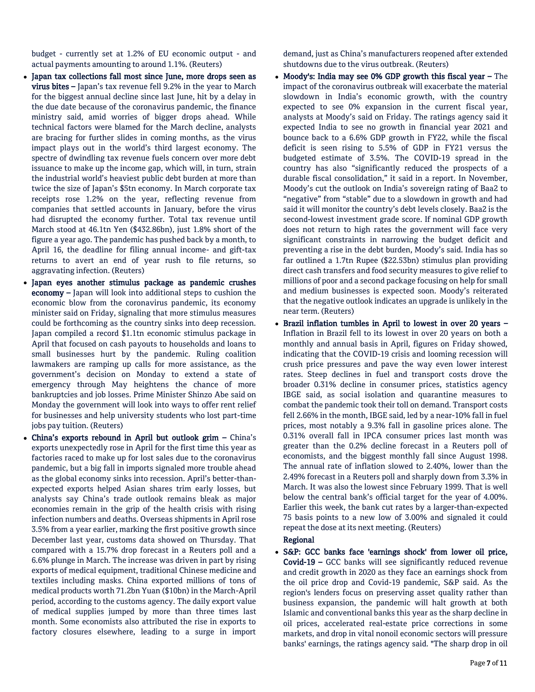budget - currently set at 1.2% of EU economic output - and actual payments amounting to around 1.1%. (Reuters)

- Japan tax collections fall most since June, more drops seen as virus bites – Japan's tax revenue fell 9.2% in the year to March for the biggest annual decline since last June, hit by a delay in the due date because of the coronavirus pandemic, the finance ministry said, amid worries of bigger drops ahead. While technical factors were blamed for the March decline, analysts are bracing for further slides in coming months, as the virus impact plays out in the world's third largest economy. The spectre of dwindling tax revenue fuels concern over more debt issuance to make up the income gap, which will, in turn, strain the industrial world's heaviest public debt burden at more than twice the size of Japan's \$5tn economy. In March corporate tax receipts rose 1.2% on the year, reflecting revenue from companies that settled accounts in January, before the virus had disrupted the economy further. Total tax revenue until March stood at 46.1tn Yen (\$432.86bn), just 1.8% short of the figure a year ago. The pandemic has pushed back by a month, to April 16, the deadline for filing annual income- and gift-tax returns to avert an end of year rush to file returns, so aggravating infection. (Reuters)
- Japan eyes another stimulus package as pandemic crushes economy – Japan will look into additional steps to cushion the economic blow from the coronavirus pandemic, its economy minister said on Friday, signaling that more stimulus measures could be forthcoming as the country sinks into deep recession. Japan compiled a record \$1.1tn economic stimulus package in April that focused on cash payouts to households and loans to small businesses hurt by the pandemic. Ruling coalition lawmakers are ramping up calls for more assistance, as the government's decision on Monday to extend a state of emergency through May heightens the chance of more bankruptcies and job losses. Prime Minister Shinzo Abe said on Monday the government will look into ways to offer rent relief for businesses and help university students who lost part-time jobs pay tuition. (Reuters)
- China's exports rebound in April but outlook grim China's exports unexpectedly rose in April for the first time this year as factories raced to make up for lost sales due to the coronavirus pandemic, but a big fall in imports signaled more trouble ahead as the global economy sinks into recession. April's better-thanexpected exports helped Asian shares trim early losses, but analysts say China's trade outlook remains bleak as major economies remain in the grip of the health crisis with rising infection numbers and deaths. Overseas shipments in April rose 3.5% from a year earlier, marking the first positive growth since December last year, customs data showed on Thursday. That compared with a 15.7% drop forecast in a Reuters poll and a 6.6% plunge in March. The increase was driven in part by rising exports of medical equipment, traditional Chinese medicine and textiles including masks. China exported millions of tons of medical products worth 71.2bn Yuan (\$10bn) in the March-April period, according to the customs agency. The daily export value of medical supplies jumped by more than three times last month. Some economists also attributed the rise in exports to factory closures elsewhere, leading to a surge in import

demand, just as China's manufacturers reopened after extended shutdowns due to the virus outbreak. (Reuters)

- Moody's: India may see 0% GDP growth this fiscal year The impact of the coronavirus outbreak will exacerbate the material slowdown in India's economic growth, with the country expected to see 0% expansion in the current fiscal year, analysts at Moody's said on Friday. The ratings agency said it expected India to see no growth in financial year 2021 and bounce back to a 6.6% GDP growth in FY22, while the fiscal deficit is seen rising to 5.5% of GDP in FY21 versus the budgeted estimate of 3.5%. The COVID-19 spread in the country has also "significantly reduced the prospects of a durable fiscal consolidation," it said in a report. In November, Moody's cut the outlook on India's sovereign rating of Baa2 to "negative" from "stable" due to a slowdown in growth and had said it will monitor the country's debt levels closely. Baa2 is the second-lowest investment grade score. If nominal GDP growth does not return to high rates the government will face very significant constraints in narrowing the budget deficit and preventing a rise in the debt burden, Moody's said. India has so far outlined a 1.7tn Rupee (\$22.53bn) stimulus plan providing direct cash transfers and food security measures to give relief to millions of poor and a second package focusing on help for small and medium businesses is expected soon. Moody's reiterated that the negative outlook indicates an upgrade is unlikely in the near term. (Reuters)
- Brazil inflation tumbles in April to lowest in over 20 years Inflation in Brazil fell to its lowest in over 20 years on both a monthly and annual basis in April, figures on Friday showed, indicating that the COVID-19 crisis and looming recession will crush price pressures and pave the way even lower interest rates. Steep declines in fuel and transport costs drove the broader 0.31% decline in consumer prices, statistics agency IBGE said, as social isolation and quarantine measures to combat the pandemic took their toll on demand. Transport costs fell 2.66% in the month, IBGE said, led by a near-10% fall in fuel prices, most notably a 9.3% fall in gasoline prices alone. The 0.31% overall fall in IPCA consumer prices last month was greater than the 0.2% decline forecast in a Reuters poll of economists, and the biggest monthly fall since August 1998. The annual rate of inflation slowed to 2.40%, lower than the 2.49% forecast in a Reuters poll and sharply down from 3.3% in March. It was also the lowest since February 1999. That is well below the central bank's official target for the year of 4.00%. Earlier this week, the bank cut rates by a larger-than-expected 75 basis points to a new low of 3.00% and signaled it could repeat the dose at its next meeting. (Reuters)

### Regional

 S&P: GCC banks face 'earnings shock' from lower oil price, Covid-19 – GCC banks will see significantly reduced revenue and credit growth in 2020 as they face an earnings shock from the oil price drop and Covid-19 pandemic, S&P said. As the region's lenders focus on preserving asset quality rather than business expansion, the pandemic will halt growth at both Islamic and conventional banks this year as the sharp decline in oil prices, accelerated real-estate price corrections in some markets, and drop in vital nonoil economic sectors will pressure banks' earnings, the ratings agency said. "The sharp drop in oil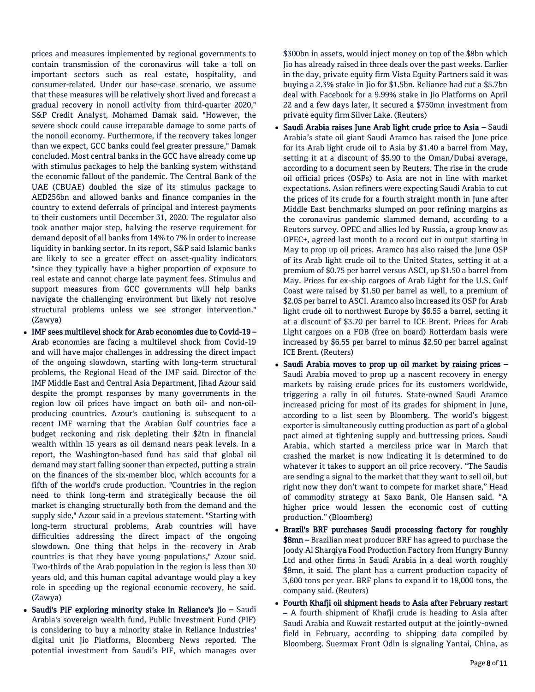prices and measures implemented by regional governments to contain transmission of the coronavirus will take a toll on important sectors such as real estate, hospitality, and consumer-related. Under our base-case scenario, we assume that these measures will be relatively short lived and forecast a gradual recovery in nonoil activity from third-quarter 2020," S&P Credit Analyst, Mohamed Damak said. "However, the severe shock could cause irreparable damage to some parts of the nonoil economy. Furthermore, if the recovery takes longer than we expect, GCC banks could feel greater pressure," Damak concluded. Most central banks in the GCC have already come up with stimulus packages to help the banking system withstand the economic fallout of the pandemic. The Central Bank of the UAE (CBUAE) doubled the size of its stimulus package to AED256bn and allowed banks and finance companies in the country to extend deferrals of principal and interest payments to their customers until December 31, 2020. The regulator also took another major step, halving the reserve requirement for demand deposit of all banks from 14% to 7% in order to increase liquidity in banking sector. In its report, S&P said Islamic banks are likely to see a greater effect on asset-quality indicators "since they typically have a higher proportion of exposure to real estate and cannot charge late payment fees. Stimulus and support measures from GCC governments will help banks navigate the challenging environment but likely not resolve structural problems unless we see stronger intervention." (Zawya)

- IMF sees multilevel shock for Arab economies due to Covid-19 Arab economies are facing a multilevel shock from Covid-19 and will have major challenges in addressing the direct impact of the ongoing slowdown, starting with long-term structural problems, the Regional Head of the IMF said. Director of the IMF Middle East and Central Asia Department, Jihad Azour said despite the prompt responses by many governments in the region low oil prices have impact on both oil- and non-oilproducing countries. Azour's cautioning is subsequent to a recent IMF warning that the Arabian Gulf countries face a budget reckoning and risk depleting their \$2tn in financial wealth within 15 years as oil demand nears peak levels. In a report, the Washington-based fund has said that global oil demand may start falling sooner than expected, putting a strain on the finances of the six-member bloc, which accounts for a fifth of the world's crude production. "Countries in the region need to think long-term and strategically because the oil market is changing structurally both from the demand and the supply side," Azour said in a previous statement. "Starting with long-term structural problems, Arab countries will have difficulties addressing the direct impact of the ongoing slowdown. One thing that helps in the recovery in Arab countries is that they have young populations," Azour said. Two-thirds of the Arab population in the region is less than 30 years old, and this human capital advantage would play a key role in speeding up the regional economic recovery, he said. (Zawya)
- Saudi's PIF exploring minority stake in Reliance's Jio Saudi Arabia's sovereign wealth fund, Public Investment Fund (PIF) is considering to buy a minority stake in Reliance Industries' digital unit Jio Platforms, Bloomberg News reported. The potential investment from Saudi's PIF, which manages over

\$300bn in assets, would inject money on top of the \$8bn which Jio has already raised in three deals over the past weeks. Earlier in the day, private equity firm Vista Equity Partners said it was buying a 2.3% stake in Jio for \$1.5bn. Reliance had cut a \$5.7bn deal with Facebook for a 9.99% stake in Jio Platforms on April 22 and a few days later, it secured a \$750mn investment from private equity firm Silver Lake. (Reuters)

- Saudi Arabia raises June Arab light crude price to Asia Saudi Arabia's state oil giant Saudi Aramco has raised the June price for its Arab light crude oil to Asia by \$1.40 a barrel from May, setting it at a discount of \$5.90 to the Oman/Dubai average, according to a document seen by Reuters. The rise in the crude oil official prices (OSPs) to Asia are not in line with market expectations. Asian refiners were expecting Saudi Arabia to cut the prices of its crude for a fourth straight month in June after Middle East benchmarks slumped on poor refining margins as the coronavirus pandemic slammed demand, according to a Reuters survey. OPEC and allies led by Russia, a group know as OPEC+, agreed last month to a record cut in output starting in May to prop up oil prices. Aramco has also raised the June OSP of its Arab light crude oil to the United States, setting it at a premium of \$0.75 per barrel versus ASCI, up \$1.50 a barrel from May. Prices for ex-ship cargoes of Arab Light for the U.S. Gulf Coast were raised by \$1.50 per barrel as well, to a premium of \$2.05 per barrel to ASCI. Aramco also increased its OSP for Arab light crude oil to northwest Europe by \$6.55 a barrel, setting it at a discount of \$3.70 per barrel to ICE Brent. Prices for Arab Light cargoes on a FOB (free on board) Rotterdam basis were increased by \$6.55 per barrel to minus \$2.50 per barrel against ICE Brent. (Reuters)
- Saudi Arabia moves to prop up oil market by raising prices Saudi Arabia moved to prop up a nascent recovery in energy markets by raising crude prices for its customers worldwide, triggering a rally in oil futures. State-owned Saudi Aramco increased pricing for most of its grades for shipment in June, according to a list seen by Bloomberg. The world's biggest exporter is simultaneously cutting production as part of a global pact aimed at tightening supply and buttressing prices. Saudi Arabia, which started a merciless price war in March that crashed the market is now indicating it is determined to do whatever it takes to support an oil price recovery. "The Saudis are sending a signal to the market that they want to sell oil, but right now they don't want to compete for market share," Head of commodity strategy at Saxo Bank, Ole Hansen said. "A higher price would lessen the economic cost of cutting production." (Bloomberg)
- Brazil's BRF purchases Saudi processing factory for roughly **\$8mn** – Brazilian meat producer BRF has agreed to purchase the Joody Al Sharqiya Food Production Factory from Hungry Bunny Ltd and other firms in Saudi Arabia in a deal worth roughly \$8mn, it said. The plant has a current production capacity of 3,600 tons per year. BRF plans to expand it to 18,000 tons, the company said. (Reuters)
- Fourth Khafji oil shipment heads to Asia after February restart – A fourth shipment of Khafji crude is heading to Asia after Saudi Arabia and Kuwait restarted output at the jointly-owned field in February, according to shipping data compiled by Bloomberg. Suezmax Front Odin is signaling Yantai, China, as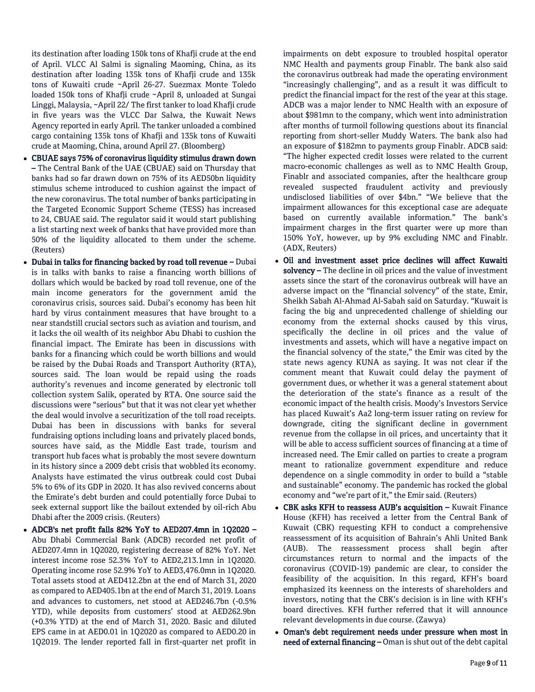its destination after loading 150k tons of Khafji crude at the end of April. VLCC Al Salmi is signaling Maoming, China, as its destination after loading 135k tons of Khafji crude and 135k tons of Kuwaiti crude ~April 26-27. Suezmax Monte Toledo loaded 150k tons of Khafji crude ~April 8, unloaded at Sungai Linggi, Malaysia, ~April 22/ The first tanker to load Khafji crude in five years was the VLCC Dar Salwa, the Kuwait News Agency reported in early April. The tanker unloaded a combined cargo containing 135k tons of Khafji and 135k tons of Kuwaiti crude at Maoming, China, around April 27. (Bloomberg)

- CBUAE says 75% of coronavirus liquidity stimulus drawn down – The Central Bank of the UAE (CBUAE) said on Thursday that banks had so far drawn down on 75% of its AED50bn liquidity stimulus scheme introduced to cushion against the impact of the new coronavirus. The total number of banks participating in the Targeted Economic Support Scheme (TESS) has increased to 24, CBUAE said. The regulator said it would start publishing a list starting next week of banks that have provided more than 50% of the liquidity allocated to them under the scheme. (Reuters)
- Dubai in talks for financing backed by road toll revenue Dubai is in talks with banks to raise a financing worth billions of dollars which would be backed by road toll revenue, one of the main income generators for the government amid the coronavirus crisis, sources said. Dubai's economy has been hit hard by virus containment measures that have brought to a near standstill crucial sectors such as aviation and tourism, and it lacks the oil wealth of its neighbor Abu Dhabi to cushion the financial impact. The Emirate has been in discussions with banks for a financing which could be worth billions and would be raised by the Dubai Roads and Transport Authority (RTA), sources said. The loan would be repaid using the roads authority's revenues and income generated by electronic toll collection system Salik, operated by RTA. One source said the discussions were "serious" but that it was not clear yet whether the deal would involve a securitization of the toll road receipts. Dubai has been in discussions with banks for several fundraising options including loans and privately placed bonds, sources have said, as the Middle East trade, tourism and transport hub faces what is probably the most severe downturn in its history since a 2009 debt crisis that wobbled its economy. Analysts have estimated the virus outbreak could cost Dubai 5% to 6% of its GDP in 2020. It has also revived concerns about the Emirate's debt burden and could potentially force Dubai to seek external support like the bailout extended by oil-rich Abu Dhabi after the 2009 crisis. (Reuters)
- ADCB's net profit falls 82% YoY to AED207.4mn in 1Q2020 Abu Dhabi Commercial Bank (ADCB) recorded net profit of AED207.4mn in 1Q2020, registering decrease of 82% YoY. Net interest income rose 52.3% YoY to AED2,213.1mn in 1Q2020. Operating income rose 52.9% YoY to AED3,476.0mn in 1Q2020. Total assets stood at AED412.2bn at the end of March 31, 2020 as compared to AED405.1bn at the end of March 31, 2019. Loans and advances to customers, net stood at AED246.7bn (-0.5% YTD), while deposits from customers' stood at AED262.9bn (+0.3% YTD) at the end of March 31, 2020. Basic and diluted EPS came in at AED0.01 in 1Q2020 as compared to AED0.20 in 1Q2019. The lender reported fall in first-quarter net profit in

impairments on debt exposure to troubled hospital operator NMC Health and payments group Finablr. The bank also said the coronavirus outbreak had made the operating environment "increasingly challenging", and as a result it was difficult to predict the financial impact for the rest of the year at this stage. ADCB was a major lender to NMC Health with an exposure of about \$981mn to the company, which went into administration after months of turmoil following questions about its financial reporting from short-seller Muddy Waters. The bank also had an exposure of \$182mn to payments group Finablr. ADCB said: "The higher expected credit losses were related to the current macro-economic challenges as well as to NMC Health Group, Finablr and associated companies, after the healthcare group revealed suspected fraudulent activity and previously undisclosed liabilities of over \$4bn." "We believe that the impairment allowances for this exceptional case are adequate based on currently available information." The bank's impairment charges in the first quarter were up more than 150% YoY, however, up by 9% excluding NMC and Finablr. (ADX, Reuters)

- Oil and investment asset price declines will affect Kuwaiti solvency – The decline in oil prices and the value of investment assets since the start of the coronavirus outbreak will have an adverse impact on the "financial solvency" of the state, Emir, Sheikh Sabah Al-Ahmad Al-Sabah said on Saturday. "Kuwait is facing the big and unprecedented challenge of shielding our economy from the external shocks caused by this virus, specifically the decline in oil prices and the value of investments and assets, which will have a negative impact on the financial solvency of the state," the Emir was cited by the state news agency KUNA as saying. It was not clear if the comment meant that Kuwait could delay the payment of government dues, or whether it was a general statement about the deterioration of the state's finance as a result of the economic impact of the health crisis. Moody's Investors Service has placed Kuwait's Aa2 long-term issuer rating on review for downgrade, citing the significant decline in government revenue from the collapse in oil prices, and uncertainty that it will be able to access sufficient sources of financing at a time of increased need. The Emir called on parties to create a program meant to rationalize government expenditure and reduce dependence on a single commodity in order to build a "stable and sustainable" economy. The pandemic has rocked the global economy and "we're part of it," the Emir said. (Reuters)
- CBK asks KFH to reassess AUB's acquisition Kuwait Finance House (KFH) has received a letter from the Central Bank of Kuwait (CBK) requesting KFH to conduct a comprehensive reassessment of its acquisition of Bahrain's Ahli United Bank (AUB). The reassessment process shall begin after circumstances return to normal and the impacts of the coronavirus (COVID-19) pandemic are clear, to consider the feasibility of the acquisition. In this regard, KFH's board emphasized its keenness on the interests of shareholders and investors, noting that the CBK's decision is in line with KFH's board directives. KFH further referred that it will announce relevant developments in due course. (Zawya)
- Oman's debt requirement needs under pressure when most in need of external financing - Oman is shut out of the debt capital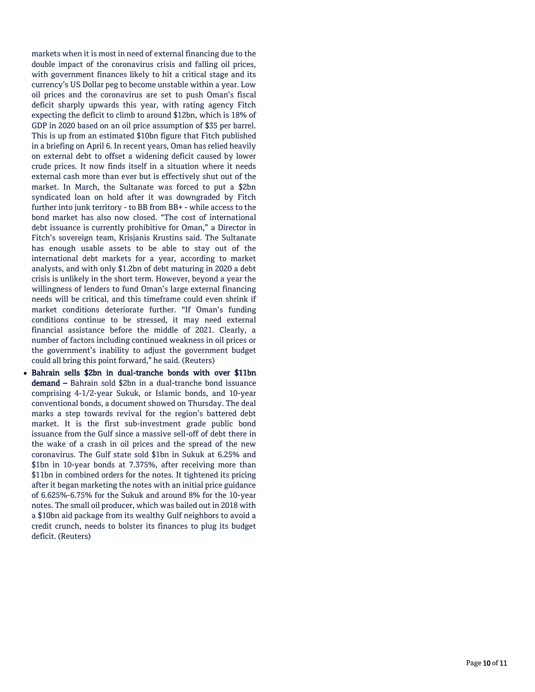markets when it is most in need of external financing due to the double impact of the coronavirus crisis and falling oil prices, with government finances likely to hit a critical stage and its currency's US Dollar peg to become unstable within a year. Low oil prices and the coronavirus are set to push Oman's fiscal deficit sharply upwards this year, with rating agency Fitch expecting the deficit to climb to around \$12bn, which is 18% of GDP in 2020 based on an oil price assumption of \$35 per barrel. This is up from an estimated \$10bn figure that Fitch published in a briefing on April 6. In recent years, Oman has relied heavily on external debt to offset a widening deficit caused by lower crude prices. It now finds itself in a situation where it needs external cash more than ever but is effectively shut out of the market. In March, the Sultanate was forced to put a \$2bn syndicated loan on hold after it was downgraded by Fitch further into junk territory - to BB from BB+ - while access to the bond market has also now closed. "The cost of international debt issuance is currently prohibitive for Oman," a Director in Fitch's sovereign team, Krisjanis Krustins said. The Sultanate has enough usable assets to be able to stay out of the international debt markets for a year, according to market analysts, and with only \$1.2bn of debt maturing in 2020 a debt crisis is unlikely in the short term. However, beyond a year the willingness of lenders to fund Oman's large external financing needs will be critical, and this timeframe could even shrink if market conditions deteriorate further. "If Oman's funding conditions continue to be stressed, it may need external financial assistance before the middle of 2021. Clearly, a number of factors including continued weakness in oil prices or the government's inability to adjust the government budget could all bring this point forward," he said. (Reuters)

 Bahrain sells \$2bn in dual -tranche bonds with over \$11bn demand – Bahrain sold \$2bn in a dual-tranche bond issuance comprising 4 -1/2 -year Sukuk, or Islamic bonds, and 10 -year conventional bonds, a document showed on Thursday. The deal marks a step towards revival for the region's battered debt market. It is the first sub -investment grade public bond issuance from the Gulf since a massive sell -off of debt there in the wake of a crash in oil prices and the spread of the new coronavirus. The Gulf state sold \$1bn in Sukuk at 6.25% and \$1bn in 10 -year bonds at 7.375%, after receiving more than \$11bn in combined orders for the notes. It tightened its pricing after it began marketing the notes with an initial price guidance of 6.625% -6.75% for the Sukuk and around 8% for the 10 -year notes. The small oil producer, which was bailed out in 2018 with a \$10bn aid package from its wealthy Gulf neighbors to avoid a credit crunch, needs to bolster its finances to plug its budget deficit. (Reuters)